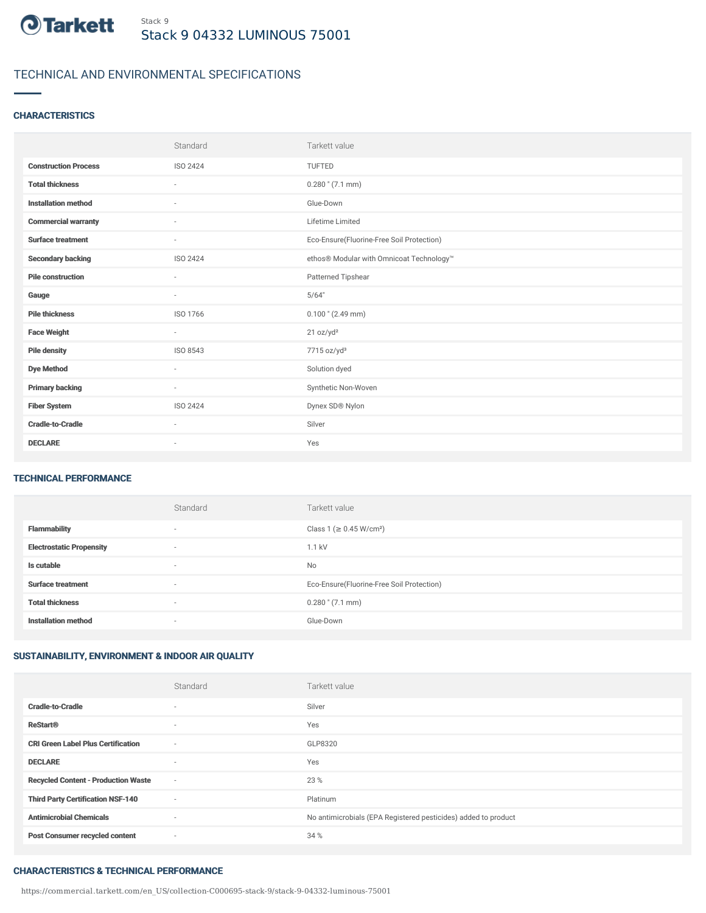

# TECHNICAL AND ENVIRONMENTAL SPECIFICATIONS

## **CHARACTERISTICS**

|                             | Standard                 | Tarkett value                             |
|-----------------------------|--------------------------|-------------------------------------------|
| <b>Construction Process</b> | ISO 2424                 | TUFTED                                    |
| <b>Total thickness</b>      | $\sim$                   | $0.280$ " $(7.1$ mm)                      |
| <b>Installation method</b>  | ٠                        | Glue-Down                                 |
| <b>Commercial warranty</b>  | $\overline{\phantom{a}}$ | Lifetime Limited                          |
| <b>Surface treatment</b>    | $\overline{\phantom{a}}$ | Eco-Ensure(Fluorine-Free Soil Protection) |
| <b>Secondary backing</b>    | <b>ISO 2424</b>          | ethos® Modular with Omnicoat Technology™  |
| <b>Pile construction</b>    | $\sim$                   | Patterned Tipshear                        |
| Gauge                       | $\sim$                   | 5/64"                                     |
| <b>Pile thickness</b>       | ISO 1766                 | $0.100$ " (2.49 mm)                       |
| <b>Face Weight</b>          | $\overline{\phantom{a}}$ | 21 oz/yd <sup>2</sup>                     |
| <b>Pile density</b>         | ISO 8543                 | 7715 oz/yd <sup>3</sup>                   |
| <b>Dye Method</b>           | $\sim$                   | Solution dyed                             |
| <b>Primary backing</b>      | $\sim$                   | Synthetic Non-Woven                       |
| <b>Fiber System</b>         | ISO 2424                 | Dynex SD® Nylon                           |
| <b>Cradle-to-Cradle</b>     | $\sim$                   | Silver                                    |
| <b>DECLARE</b>              | ٠                        | Yes                                       |

### TECHNICAL PERFORMANCE

|                                 | Standard                 | Tarkett value                             |
|---------------------------------|--------------------------|-------------------------------------------|
| <b>Flammability</b>             | $\overline{\phantom{a}}$ | Class 1 (≥ 0.45 W/cm <sup>2</sup> )       |
| <b>Electrostatic Propensity</b> | $\overline{\phantom{a}}$ | 1.1 kV                                    |
| Is cutable                      | $\overline{\phantom{a}}$ | <b>No</b>                                 |
| <b>Surface treatment</b>        | $\overline{\phantom{a}}$ | Eco-Ensure(Fluorine-Free Soil Protection) |
| <b>Total thickness</b>          | $\overline{\phantom{a}}$ | $0.280$ " $(7.1$ mm)                      |
| <b>Installation method</b>      | $\overline{\phantom{a}}$ | Glue-Down                                 |

# SUSTAINABILITY, ENVIRONMENT & INDOOR AIR QUALITY

|                                            | Standard                 | Tarkett value                                                  |
|--------------------------------------------|--------------------------|----------------------------------------------------------------|
| <b>Cradle-to-Cradle</b>                    | $\overline{\phantom{a}}$ | Silver                                                         |
| <b>ReStart®</b>                            | $\sim$                   | Yes                                                            |
| <b>CRI Green Label Plus Certification</b>  | $\sim$                   | GLP8320                                                        |
| <b>DECLARE</b>                             | $\sim$                   | Yes                                                            |
| <b>Recycled Content - Production Waste</b> | $\sim$                   | 23 %                                                           |
| <b>Third Party Certification NSF-140</b>   | $\sim$                   | Platinum                                                       |
| <b>Antimicrobial Chemicals</b>             | $\sim$                   | No antimicrobials (EPA Registered pesticides) added to product |
| <b>Post Consumer recycled content</b>      | $\sim$                   | 34 %                                                           |

#### CHARACTERISTICS & TECHNICAL PERFORMANCE

https://commercial.tarkett.com/en\_US/collection-C000695-stack-9/stack-9-04332-luminous-75001